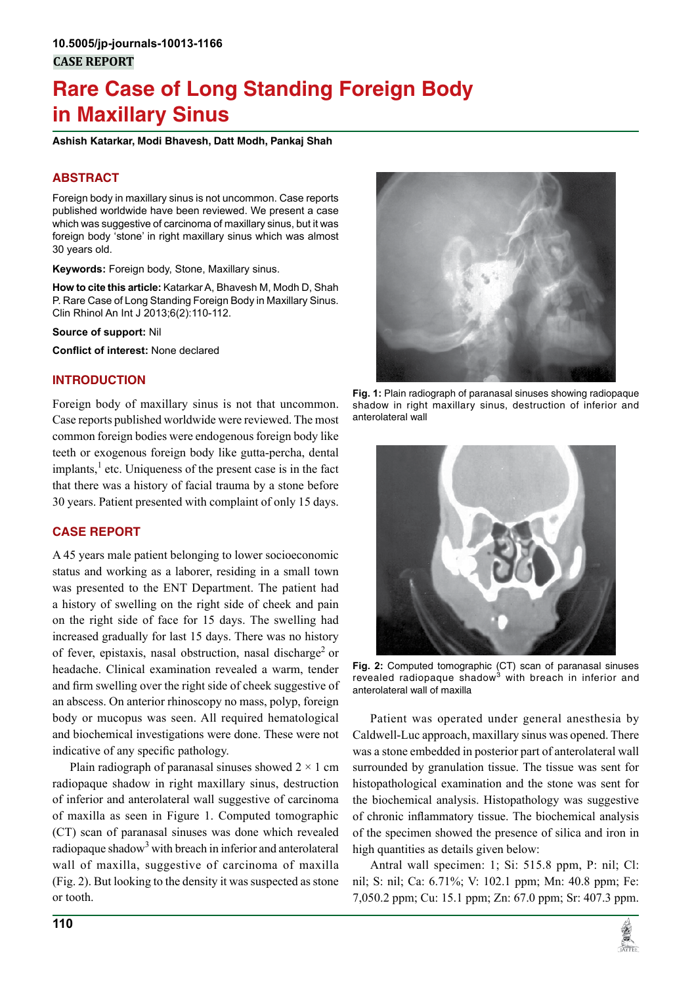# **Rare Case of Long Standing Foreign Body in Maxillary Sinus**

**Ashish Katarkar, Modi Bhavesh, Datt Modh, Pankaj Shah**

## **ABSTRACT**

Foreign body in maxillary sinus is not uncommon. Case reports published worldwide have been reviewed. We present a case which was suggestive of carcinoma of maxillary sinus, but it was foreign body 'stone' in right maxillary sinus which was almost 30 years old.

**Keywords:** Foreign body, Stone, Maxillary sinus.

**How to cite this article:** Katarkar A, Bhavesh M, Modh D, Shah P. Rare Case of Long Standing Foreign Body in Maxillary Sinus. Clin Rhinol An Int J 2013;6(2):110-112.

**Source of support:** Nil

**Conflict of interest:** None declared

#### **INTRODUCTION**

Foreign body of maxillary sinus is not that uncommon. Case reports published worldwide were reviewed. The most common foreign bodies were endogenous foreign body like teeth or exogenous foreign body like gutta-percha, dental implants,<sup>1</sup> etc. Uniqueness of the present case is in the fact that there was a history of facial trauma by a stone before 30 years. Patient presented with complaint of only 15 days.

#### **CASE REPORT**

A 45 years male patient belonging to lower socioeconomic status and working as a laborer, residing in a small town was presented to the ENT Department. The patient had a history of swelling on the right side of cheek and pain on the right side of face for 15 days. The swelling had increased gradually for last 15 days. There was no history of fever, epistaxis, nasal obstruction, nasal discharge<sup>2</sup> or headache. Clinical examination revealed a warm, tender and firm swelling over the right side of cheek suggestive of an abscess. On anterior rhinoscopy no mass, polyp, foreign body or mucopus was seen. All required hematological and biochemical investigations were done. These were not indicative of any specific pathology.

Plain radiograph of paranasal sinuses showed  $2 \times 1$  cm radiopaque shadow in right maxillary sinus, destruction of inferior and anterolateral wall suggestive of carcinoma of maxilla as seen in Figure 1. Computed tomographic (CT) scan of paranasal sinuses was done which revealed radiopaque shadow<sup>3</sup> with breach in inferior and anterolateral wall of maxilla, suggestive of carcinoma of maxilla (Fig. 2). But looking to the density it was suspected as stone or tooth.



**Fig. 1:** Plain radiograph of paranasal sinuses showing radiopaque shadow in right maxillary sinus, destruction of inferior and anterolateral wall



**Fig. 2:** Computed tomographic (CT) scan of paranasal sinuses revealed radiopaque shadow<sup>3</sup> with breach in inferior and anterolateral wall of maxilla

Patient was operated under general anesthesia by Caldwell-Luc approach, maxillary sinus was opened. There was a stone embedded in posterior part of anterolateral wall surrounded by granulation tissue. The tissue was sent for histopathological examination and the stone was sent for the biochemical analysis. Histopathology was suggestive of chronic inflammatory tissue. The biochemical analysis of the specimen showed the presence of silica and iron in high quantities as details given below:

Antral wall specimen: 1; Si: 515.8 ppm, P: nil; Cl: nil; S: nil; Ca: 6.71%; V: 102.1 ppm; Mn: 40.8 ppm; Fe: 7,050.2 ppm; Cu: 15.1 ppm; Zn: 67.0 ppm; Sr: 407.3 ppm.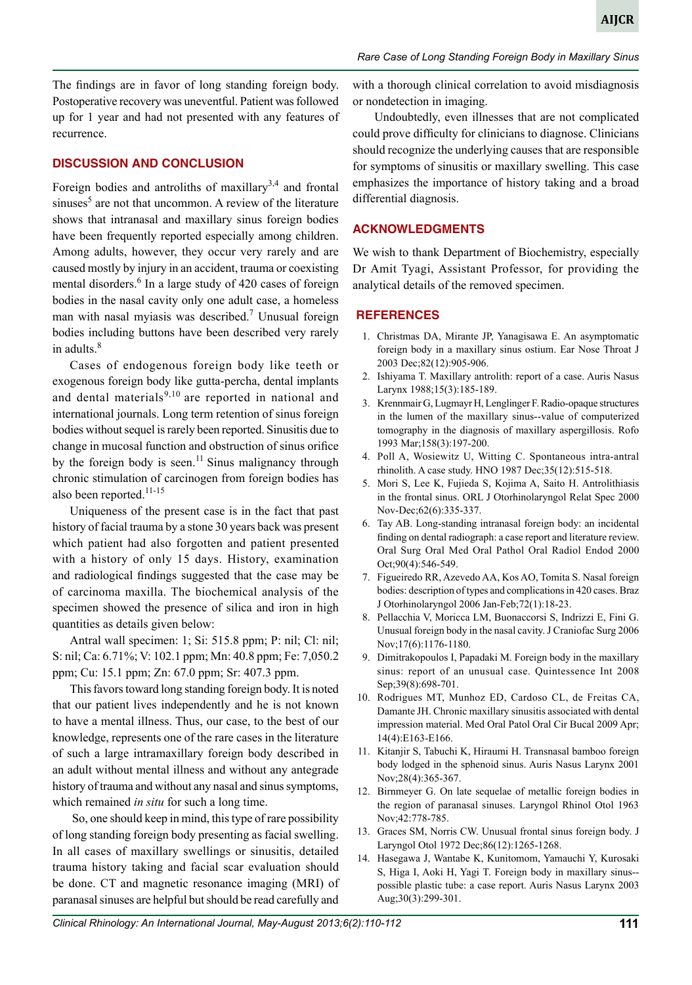The findings are in favor of long standing foreign body. Postoperative recovery was uneventful. Patient was followed up for 1 year and had not presented with any features of recurrence.

#### **DISCUSSION AND CONCLUSION**

Foreign bodies and antroliths of maxillary<sup>3,4</sup> and frontal sinuses<sup>5</sup> are not that uncommon. A review of the literature shows that intranasal and maxillary sinus foreign bodies have been frequently reported especially among children. Among adults, however, they occur very rarely and are caused mostly by injury in an accident, trauma or coexisting mental disorders.<sup>6</sup> In a large study of 420 cases of foreign bodies in the nasal cavity only one adult case, a homeless man with nasal myiasis was described.<sup>7</sup> Unusual foreign bodies including buttons have been described very rarely in adults.<sup>8</sup>

Cases of endogenous foreign body like teeth or exogenous foreign body like gutta-percha, dental implants and dental materials $9,10$  are reported in national and international journals. Long term retention of sinus foreign bodies without sequel is rarely been reported. Sinusitis due to change in mucosal function and obstruction of sinus orifice by the foreign body is seen.<sup>11</sup> Sinus malignancy through chronic stimulation of carcinogen from foreign bodies has also been reported.<sup>11-15</sup>

Uniqueness of the present case is in the fact that past history of facial trauma by a stone 30 years back was present which patient had also forgotten and patient presented with a history of only 15 days. History, examination and radiological findings suggested that the case may be of carcinoma maxilla. The biochemical analysis of the specimen showed the presence of silica and iron in high quantities as details given below:

Antral wall specimen: 1; Si: 515.8 ppm; P: nil; Cl: nil; S: nil; Ca: 6.71%; V: 102.1 ppm; Mn: 40.8 ppm; Fe: 7,050.2 ppm; Cu: 15.1 ppm; Zn: 67.0 ppm; Sr: 407.3 ppm.

This favors toward long standing foreign body. It is noted that our patient lives independently and he is not known to have a mental illness. Thus, our case, to the best of our knowledge, represents one of the rare cases in the literature of such a large intramaxillary foreign body described in an adult without mental illness and without any antegrade history of trauma and without any nasal and sinus symptoms, which remained *in situ* for such a long time.

 So, one should keep in mind, this type of rare possibility of long standing foreign body presenting as facial swelling. In all cases of maxillary swellings or sinusitis, detailed trauma history taking and facial scar evaluation should be done. CT and magnetic resonance imaging (MRI) of paranasal sinuses are helpful but should be read carefully and

*Rare Case of Long Standing Foreign Body in Maxillary Sinus*

with a thorough clinical correlation to avoid misdiagnosis or nondetection in imaging.

 Undoubtedly, even illnesses that are not complicated could prove difficulty for clinicians to diagnose. Clinicians should recognize the underlying causes that are responsible for symptoms of sinusitis or maxillary swelling. This case emphasizes the importance of history taking and a broad differential diagnosis.

#### **ACKNOWLEDGMENTS**

We wish to thank Department of Biochemistry, especially Dr Amit Tyagi, Assistant Professor, for providing the analytical details of the removed specimen.

#### **REFERENCES**

- 1. Christmas DA, Mirante JP, Yanagisawa E. An asymptomatic foreign body in a maxillary sinus ostium. Ear Nose Throat J 2003 Dec;82(12):905-906.
- 2. Ishiyama T. Maxillary antrolith: report of a case. Auris Nasus Larynx 1988;15(3):185-189.
- 3. Krennmair G, Lugmayr H, Lenglinger F. Radio-opaque structures in the lumen of the maxillary sinus--value of computerized tomography in the diagnosis of maxillary aspergillosis. Rofo 1993 Mar;158(3):197-200.
- 4. Poll A, Wosiewitz U, Witting C. Spontaneous intra-antral rhinolith. A case study. HNO 1987 Dec;35(12):515-518.
- 5. Mori S, Lee K, Fujieda S, Kojima A, Saito H. Antrolithiasis in the frontal sinus. ORL J Otorhinolaryngol Relat Spec 2000 Nov-Dec;62(6):335-337.
- 6. Tay AB. Long-standing intranasal foreign body: an incidental finding on dental radiograph: a case report and literature review. Oral Surg Oral Med Oral Pathol Oral Radiol Endod 2000 Oct;90(4):546-549.
- 7. Figueiredo RR, Azevedo AA, Kos AO, Tomita S. Nasal foreign bodies: description of types and complications in 420 cases. Braz J Otorhinolaryngol 2006 Jan-Feb;72(1):18-23.
- 8. Pellacchia V, Moricca LM, Buonaccorsi S, Indrizzi E, Fini G. Unusual foreign body in the nasal cavity. J Craniofac Surg 2006 Nov;17(6):1176-1180.
- 9. Dimitrakopoulos I, Papadaki M. Foreign body in the maxillary sinus: report of an unusual case. Quintessence Int 2008 Sep;39(8):698-701.
- 10. Rodrigues MT, Munhoz ED, Cardoso CL, de Freitas CA, Damante JH. Chronic maxillary sinusitis associated with dental impression material. Med Oral Patol Oral Cir Bucal 2009 Apr; 14(4):E163-E166.
- 11. Kitanjir S, Tabuchi K, Hiraumi H. Transnasal bamboo foreign body lodged in the sphenoid sinus. Auris Nasus Larynx 2001 Nov;28(4):365-367.
- 12. Birnmeyer G. On late sequelae of metallic foreign bodies in the region of paranasal sinuses. Laryngol Rhinol Otol 1963 Nov;42:778-785.
- 13. Graces SM, Norris CW. Unusual frontal sinus foreign body. J Laryngol Otol 1972 Dec;86(12):1265-1268.
- 14. Hasegawa J, Wantabe K, Kunitomom, Yamauchi Y, Kurosaki S, Higa I, Aoki H, Yagi T. Foreign body in maxillary sinus- possible plastic tube: a case report. Auris Nasus Larynx 2003 Aug;30(3):299-301.